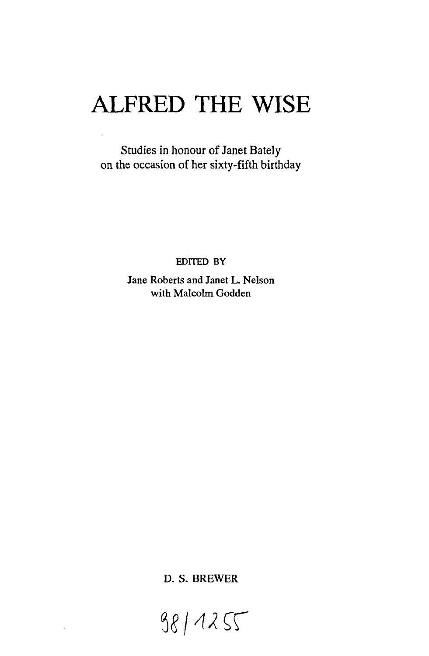# **ALFRED THE WISE**

Studies in honour of Janet Bately on the occasion of her sixty-fifth birthday

EDITED BY

Jane Roberts and Janet L. Nelson with Maleolm Godden

D. S. BREWER

98/1255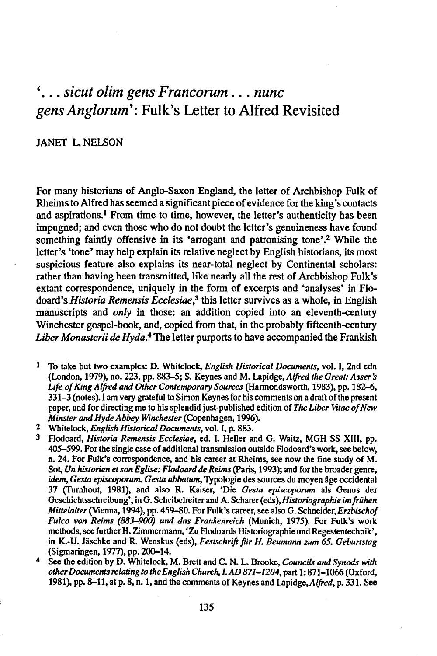## *'... sicut olim gens Franeorum ... nunc gens Anglorum':* Fulk's Letter to Alfred Revisited

### JANET L NELSON

For many historians of Anglo-Saxon England, the letter of Archbishop Fulk of Rheims to Alfred has seemed a significant piece of evidence for the king's contacts and aspirations.<sup>1</sup> From time to time, however, the letter's authenticity has been impugned; and even those who do not doubt the letter's genuineness have found something faintly offensive in its 'arrogant and patronising tone'.<sup>2</sup> While the letter's 'tone' may help explain its relative neglect by English historians, its most suspicious feature also explains its near-total neglect by Continental scholars: rather than having been transmitted, like nearly all the rest of Archbishop Fulk's extant correspondence, uniquely in the form of excerpts and 'analyses' in Flodoard's *Historia Remensis Ecclesiaes* this letter survives as a whole, in English manuscripts and *only* in those: an addition copied into an eleventh-century Winchester gospel-book, and, copied from that, in the probably fifteenth-century *Liber Monasterii de Hyda.<sup>4</sup>* The letter purports to have accompanied the Frankish

- To take but two examples: D. Whitelock, *English Historical Documents,* vol. I, 2nd edn (London, 1979), no. 223, pp. 883–5; S. Keynes and M. Lapidge, *Alfred the Great: Asser's Life of King AljTed and Other Contemporary Sources* (Harmondsworth, 1983), pp. 182-6, 331-3 (notes). I am very grateful to Simon Keynes for his comments on a draft of the present paper, and for directing me to his splendid just-published edition of *The Liber Wtae of New Minster and Hyde Abbey Winchester* (Copenhagen, 1996).
- 2 Whitelock, *English Historical Documents,* vol. I, p. 883.
- 3 F1odoard, *Historia Remensis Ecclesiae,* ed. I. Helier and O. Waitz, MOH SS XIII, pp. 405-599. For the single case of additional transmission outside Flodoard's work, see below, n. 24. For Fulk's correspondence, and his career at Rheims, see now the fine study of M. Sol, *Un historien et son Eglise: Flodoard de Reims* (paris, 1993); and for the broader genre, *idem, Gesta episcoporum. Gesta abbatum,* Typologie des sources du moyen age occidental 37 (Turnhout, 1981), and also R. Kaiser, 'Die *Gesta episcoporum* als Genus der Geschichtsschreibung', in O. Scheibelreiter and A. Scharer(eds), *Historiographie imfrühen Miuelalter* (Vienna, 1994), pp. 459-80. For Fulk's career, see also G. Schneider, *Erzbischof Fulco von Reims (883-900) und das Frankenreich* (Munich, 1975). For Fulk's work methods, see further H. Zimmermann, 'Zu Flodoards Historiographie und Regestentechnik', in K.-U. Jäschke and R. Wenskus (eds), *Festschrift für H. Beumann zum* 65. *Geburtstag* (Sigmaringen, 1977), pp. 200-14.
- 4 See the edition by D. Whitelock, M. Brett and C. N. L. Brooke, *Councils and Synods with other Documents relating to the English Church, I. AD 871-1204,* pan 1: 871-1066 (Oxford, 1981), pp. 8-11, at p. 8, n. 1, and the comments of Keynes and Lapidge, *Alfred*, p. 331. See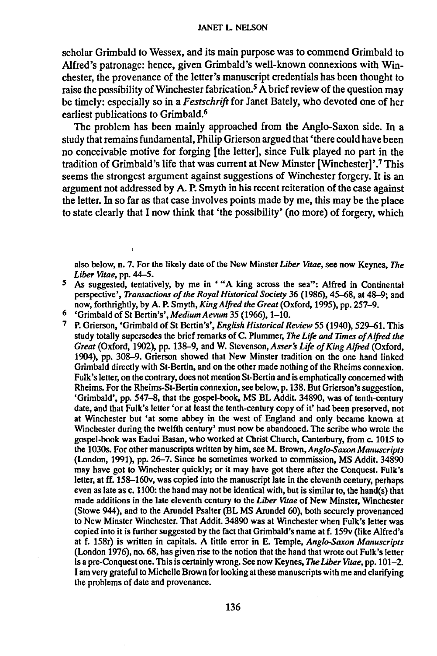#### JANET L NELSON

scholar Grimbald to Wessex, and its main purpose was to commend Grimbald to Alfred's patronage: hence, given Grimbald's well-known connexions with Winchester, the provenance of the letter's manuscript credentials has been thought to raise the possibility of Winchester fabrication.<sup>5</sup> A brief review of the question may be timely: especially so in a *Festschrift* for Janet Bately, who devoted one of her earliest publications to Grimbald.<sup>6</sup>

The problem has been mainly approached from the Anglo-Saxon side. In a study that remains fundamental, Philip Grierson argued that 'there could have been no conceivable motive for forging [the letter], since Fulk played no part in the tradition of Grimbald's life that was current at New Minster [Winchester]'.<sup>7</sup> This seems the strongest argument against suggestions of Winchester forgery. It is an argument not addressed by A. P.Smyth in his recent reiteration of the case against the letter. Inso far as that case involves points made by me, this may be the place to state clearly that I now think that 'the possibility' (no more) of forgery, which

also below, n. 7. For the likely date of the New Minster *Liber Vitae,* see now Keynes, *The Liber Vitae,* pp. 44-5.

- S As suggested, tentatively, by me in '''A king across the sea": Alfred in Continental perspective', *Transactions of the Royal Historical Society* 36 (1986), 45--68, at 48-9; and now, forthrightly, by A. P. Smyth, *King Alfred the Great* (Oxford, 1995), pp. 257-9.
- 6 'Grimbald of St Bertin's', *Medium Aevum* 35 (1966), 1-10.
- 7 P. Grierson, 'Grimbald of St Bertin's', *English Historical Review* 55 (1940), 529-61. This study totally supersedes *the* brief remarks of C. Plummer, *The Life and Times of Alfred the Great* (Oxford, 1902), pp. 138-9, and W. Stevenson, *Asser s Life of King Alfred* (Oxford, 1904), pp. 308-9. Grierson showed that New Minster tradition on *the* one hand linked Grimbald directly with St-Bertin, and on the other made nothing of the Rheims connexion. Fulk's letter, on the contrary, does not mention St-Bertin and is emphatically concerned with Rheims. For the Rheims-St-Bertin connexion, see below, p. 138. But Grierson's suggestion, 'Grimbald', pp. 547-8, that the gospel-book, MS BL Addit. 34890, was of tenth-century date, and that Fulk's letter 'or at least the tenth-century copy of it' had been preserved, not at Winchester but 'at some abbey in the west of England and only became known at Winchester during the twelfth century' must now be abandoned. The scribe who wrote the gospel-book was Eadui Basan, who worked at Christ Church, Canterbury, from c. 1015 to the 1030s. For other manuscripts written by him, see M. Brown, *Anglo-Saxon Manuscripts* (London, 1991), pp. 26-7. Since he sometimes worked to commission, MS Addit. 34890 may have got to Winchester quickly; or it may have got there after the Conquest. Fulk's letter, at ft. 158-l6Ov, was copied into *the* manuscript late in *the* eleventh century, perhaps even as late as c. 1100: the hand may not be identical with, but is similar to, the hand(s) that made additions in the late eleventh century to the *Liber Vitae* of New Minster, Winchester (Stowe 944), and to the Arundel Psalter (BL MS Arundel 60), both securely provenanced to New Minster Winchester. That Addit. 34890 was at Winchester when Fulk's letter was copied into it is further suggested by *the* fact that Grimbald's name at f. 159v (like Alfred's at f. 158r) is written in capitals. A little error in E. Temple, *Anglo-Saxon Manuscripts* (London 1976), no. 68, has given rise to *the* notion that the hand that wrote out Fulk's letter is a pre-Conquest *one.* This is certainly wrong. See now Keynes, *The Liber Vitae,* pp. 101-2. I amvery grateful to Michelle Brown for looking at these manuscripts with *me* and clarifying the problems of date and provenance.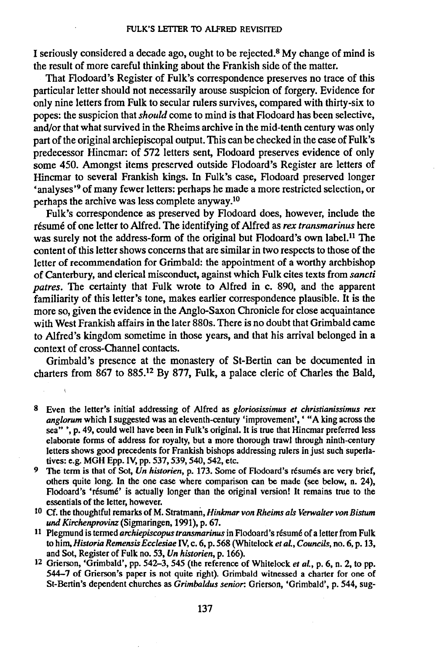I seriously considered a decade ago, ought to be rejected.<sup>8</sup> My change of mind is the result of more careful thinking about the Frankish side of the matter.

That Flodoard's Register of Fulk's correspondence preserves no trace of this particular letter should not necessarily arouse suspicion of forgery. Evidence for only nine letters from Fulk to secular rulers survives, compared with thirty-six to popes: the suspicion that *should* come to mind is that Flodoard has been selective, and/or that what survived in the Rheims archive in the mid-tenth century was only part of the original archiepiscopal output. This can be checked in the case of Fulk's predecessor Hincmar: of 572 letters sent, Flodoard preserves evidence of only some 450. Amongst items preserved outside Flodoard's Register are letters of Hincmar to several Frankish kings. In Fulk's case, Flodoard preserved longer 'analyses'9 of many fewer letters: perhaps he made a more restricted selection, or perhaps the archive was less complete anyway.<sup>10</sup>

Fulk's correspondence as preserved by Flodoard does, however, include the resume of one letter to Alfred. The identifying of Alfred as *rex transmarinus* here was surely not the address-form of the original but Flodoard's own label.<sup>11</sup> The content of this letter shows concerns that are similar in two respects to those of the letter of recommendation for Grimbald: the appointment of a worthy archbishop of Canterbury, and clerical misconduct, against which Fulk cites texts from *sancti patres.* The certainty that Fulk wrote to Alfred in c. 890, and the apparent familiarity of this letter's tone, makes earlier correspondence plausible. It is the more so, given the evidence in the Anglo-Saxon Chronicle for close acquaintance with West Frankish affairs in the later 880s. There is no doubt that Grimbald came to Alfred's kingdom sometime in those years, and that his arrival belonged in a context of cross-Channel contacts.

Grimbald's presence at the monastery of St-Bertin can be documented in charters from 867 to 885.<sup>12</sup> By 877, Fulk, a palace cleric of Charles the Bald,

- 8 Even the letter's initial addressing of Alfred as *gloriosissimus et christianissimus rex anglorum* which I suggested was an eleventh-century 'improvement', ' "A king across the sea"', p. 49, could well have been in Fulk's original. It is true that Hincmar preferred less elaborate forms of address for royalty, but a more thorough trawl through ninth-century letters shows good precedents for Frankish bishops addressing rulers in just such superlatives: e.g. MGH Epp. IV,pp. 537, 539, 540, 542, etc.
- <sup>9</sup> The term is that of Sot, Un historien, p. 173. Some of Flodoard's résumés are very brief, others quite long. In the one case where comparison can be made (see below, n. 24), Flodoard's 'résumé' is actually longer than the original version! It remains true to the essentials of the letter, however.
- 10 Cf. the thoughtful remarks of M. Stratmann, *Hinkmar von Rheims als Verwalter von Bistum und Kirchenprovinz* (Sigmaringen, 1991), p. 67.
- 11 Plegmuod is termed *archiepiscopus transmarinus* in F1odoard's resume of a letter from Fulk to him, *Historia Remensis Ecclesiae* IV,c. 6, p. 568 (Whitelock *et al., Councils,* no. 6, p. 13, and Sot, Register of Fulk no. 53, *Un historien,* p. 166).
- 12 Grierson, 'Grimbald', pp. 542-3, 545 (the reference of Whitelock *et al.,* p. 6, n. 2, to pp. 544-7 of Grierson's paper is not quite right). Grimbald witnessed a charter for one of St-Bertin's dependent churches as *Grimbaldus senior:* Grierson, 'Grimbald', p. 544, sug-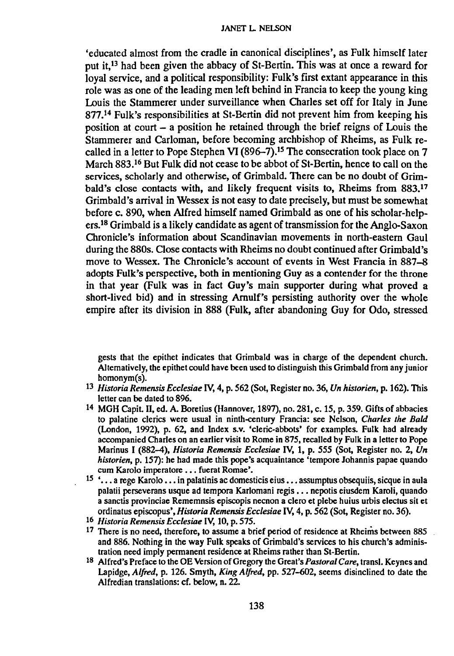'educated almost from the cradle in canonical disciplines', as Fulk himself later put it,<sup>13</sup> had been given the abbacy of St-Bertin. This was at once a reward for loyal service, and a political responsibility: Fulk's first extant appearance in this role was as one of the leading men left behind in Francia to keep the young king Louis the Stammerer under surveillance when Charles set off for Italy in June 877.1<sup>4</sup> Fulk's responsibilities at St-Bertin did not prevent him from keeping his position at court  $-$  a position he retained through the brief reigns of Louis the Stammerer and Carloman, before becoming archbishop of Rheims, as Fulk recalled in a letter to Pope Stephen VI (896-7).<sup>15</sup> The consecration took place on 7 March 883.<sup>16</sup> But Fulk did not cease to be abbot of St-Bertin, hence to call on the services, scholarly and otherwise, of Grimbald. There can be no doubt of Grimbald's close contacts with, and likely frequent visits to, Rheims from 883.<sup>17</sup> Grimbald's arrival in Wessex is not easy to date precisely, but must be somewhat before c. 890, when Alfred himself named Grimbald as one of his scholar-helpers.18Grimbald is a likely candidate as agent of transmission for the Anglo-Saxon Chronicle's information about Scandinavian movements in north-eastern Gaul during the 880s. Close contacts with Rheims no doubt continued after Grimbald's move to Wessex. The Chronicle's account of events in West Francia in 887-8 adopts Fulk's perspective, both in mentioning Guy as a contender for the throne in that year (Fulk was in fact Guy's main supporter during what proved a short-lived bid) and in stressing Amulf's persisting authority over the whole empire after its division in 888 (Fulk, after abandoning Guy for Odo, stressed

gests that the epithet indicates that Grimbald was in charge of the dependent church. Alternatively, the epithet could have been used to distinguish this Grimbald from any junior homonym(s).

- *13 Historia Remensis Ecclesiae* IV, 4, p. 562 (Sot, Register no. 36, *Un historien,* p. 162). This letter can be dated to 896.
- 14 MGH Capit. 11,ed. A. Boretius (Hannover, 1897), no. 281, c. 15, p. 359. Gifts of abbacies to palatine clerics were usual in ninth-century Francia: see Nelson, *Charles the Bald* (London, 1992), p. 62, and Index s.v, 'cleric-abbots' for examples. Fulk had already accompanied Charles on an earlier visit to Rome in 875, recalled by Fulk in a letter to Pope Marinus I (882-4), *Historia Remensis Ecclesiae* IV, 1, p. 555 (Sot, Register no. 2, *Un historien,* p. 157): he had made this pope's acquaintance 'tempore Johannis papae quando cum Karolo imperatore . . . fuerat Romae'.
- $15$   $\cdot \cdot \cdot$  a rege Karolo  $\cdot \cdot \cdot$  in palatinis ac domesticis eius  $\cdot \cdot \cdot$ , assumptus obsequiis, sicque in aula palatii perseverans usque ad tempora Karlomani regis ••. nepotis eiusdem Karoli, quando a sanctis provinciae Rememnsis episcopis necnon a clero et plebe huius urbis electus sit et ordinatus episcopus', *Historia Remensis Ecclesiae* IV, 4, p. 562 (Sot, Register no. 36).
- *<sup>16</sup> Historia Remensis Ecclesiae* IV, 10, p. 575.
- 17 There is no need, therefore, to assume a brief period of residence at Rheims between 885 and 886. Nothing in the way Fulk speaks of Grimbald's services to his church's administration need imply permanent residence at Rheims rather than St-Bertin,
- 18 Alfred's Preface to the OE Version of Gregory the Great's *Pastoral Care,* transl, Keynes and Lapidge, *Alfred,* p. 126. Smyth, *King Alfred,* pp. 527-602, seems disinclined to date the A1fredian translations: cf. below, n. 22.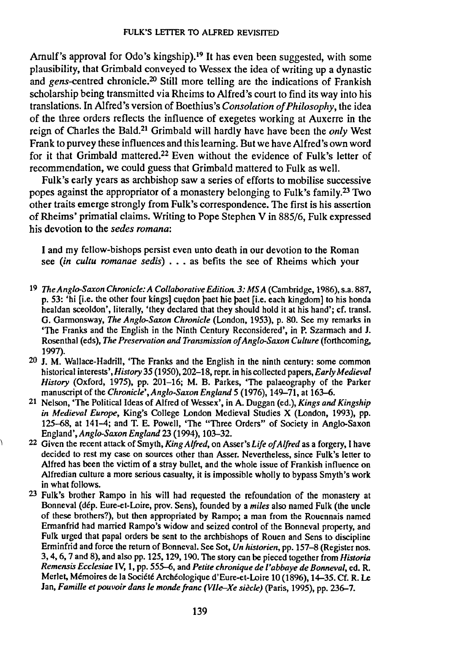Arnulf's approval for Odo's kingship).<sup>19</sup> It has even been suggested, with some plausibility, that Grimbald conveyed to Wessex the idea of writing up a dynastic and gens-centred chronicle.<sup>20</sup> Still more telling are the indications of Frankish scholarship being transmitted via Rheims to Alfred's court to find its way into his translations. InAlfred's version of Boethius's *Consolation of Philosophy,* the idea of the three orders reflects the influence of exegetes working at Auxerre in the reign of Charles the Bald.<sup>21</sup> Grimbald will hardly have have been the *only* West Frank to purvey these influences and this learning. But we have Alfred's own word for it that Grimbald mattered.<sup>22</sup> Even without the evidence of Fulk's letter of recommendation, we could guess that Grimbald mattered to Fulk as well.

Fulk's early years as archbishop saw a series of efforts to mobilise successive popes against the appropriator of a monastery belonging to Fulk's family.23 Two other traits emerge strongly from Fulk's correspondence. The first is his assertion of Rheims' primatial claims. Writing to Pope Stephen V in 885/6, Fulk expressed his devotion to the *sedes romana:*

I and my fellow-bishops persist even unto death in our devotion to the Roman see *(in cultu romanae sedis) ...* as befits the see of Rheims which your

- *19 TheAnglo-Saxon Chronicle: A Collaborative Edition.* 3: *MSA* (Cambridge, 1986),s.a. 887, p. 53: 'hi [i.e. the other four kings] cuedon paet hie paet [i.e. each kingdom] to his honda healdan sceoldon', literally, 'they declared that they should hold it at his hand'; cf. trans!. G. Garmonsway, *The Anglo-Saxon Chronicle* (London, 1953), p. 80. See my remarks in 'The Franks and the English in the Ninth Century Reconsidered', in P. Szarmach and J. RosenthaI (eds), *The Preservation and Transmission of Angio-Saxon Culture* (forthcoming, 1997).
- 20 J. M. Wallace-Hadrill, 'The Franks and the English in the ninth century: some common historical *interests',History* 35 (1950), 202-18, repr. in his collected papers, *Early Medieval History* (Oxford, 1975), pp. 201-16; M. B. Parkes, 'The palaeography of the Parker manuscript of the *Chronicle', Anglo-Saxon England* 5 (1976), 149-71, at 163-6.
- 21 Nelson, 'The Political Ideas of Alfred of Wessex', in A. Duggan (ed.), *Kings and Kingship in Medieval Europe,* King's College London Medieval Studies X (London, 1993), pp. 125-68, at 141-4; and T. E. Powell, 'The "Three Orders" of Society in Anglo-Saxon *England',Anglo-Saxon England* 23 (1994),103-32.
- 22 Given the recent attack of Smyth, *King Alfred,* on Asser's *Life of Alfred* as a forgery, I have decided to rest my case on sources other than Asset, Nevertheless, since Fulk's letter to Alfred has been the victim of a stray bullet, and the whole issue of Frankish influence on Alfredian culture a more serious casualty, it is impossible wholly to bypass Smyth's work in what follows.
- 23 Fulk's brother Rampo in his will had requested the refoundation of the monastery at Bonneval (dep, Eure-et-Loire, prov, Sens), founded by a *miles* also named Fulk (the uncle of these brothers?), but then appropriated by Rampo; a man from the Rouennais named Ermanfrid had married Rampo's widow and seized control of the Bonneval property, and Fulk urged that papal orders be sent to the archbishops of Rouen and Sens to discipline Erminfrid and force the return of Bonneval. See Sot, *Un historien,* pp. 157-8 (Register nos. 3, 4, 6, 7 and 8), and also pp. 125, 129, 190. The story can be pieced together from *Historia Remensis Ecclesiae* IV, 1, pp. 555-6, and *Petite chronique de I'abbaye de Bonneval,* ed. R. Merlet, Mémoires de la Société Archéologique d'Eure-et-Loire 10 (1896), 14-35. Cf. R. Le Jan, *Familie et pouvoir dans le monde franc (V1Ie-Xe siede)* (paris, 1995), pp. 236-7.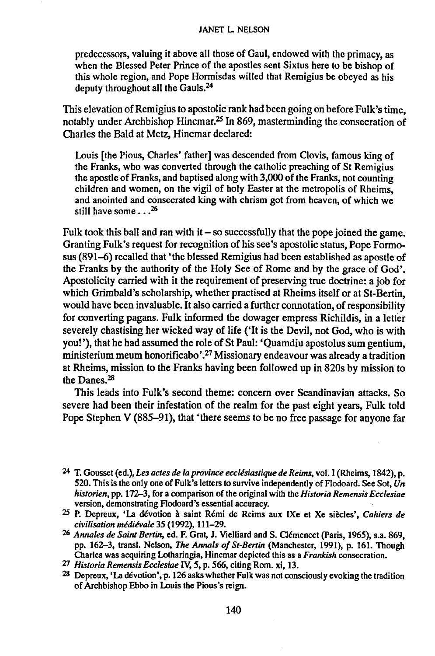predecessors, valuing it above all those of Gaul, endowed with the primacy, as when the Blessed Peter Prince of the apostles sent Sixtus here to be bishop of this whole region, and Pope Hormisdas willed that Remigius be obeyed as his deputy throughout all the Gauls.<sup>24</sup>

This elevation of Remigius to apostolic rank had been going on before Fulk's time, notably under Archbishop Hincmar.<sup>25</sup> In 869, masterminding the consecration of Charles the Bald at Metz, Hincmar declared:

Louis [the Pious, Charles' father] was descended from Clovis, famous king of the Franks, who was converted through the catholic preaching of St Remigius the apostle of Franks, and baptised along with 3,000 of the Franks, not counting children and women, on the vigil of holy Easter at the metropolis of Rheims, and anointed and consecrated king with chrism got from heaven, of which we still have some  $\ldots^{26}$ 

Fulk took this ball and ran with it  $-$  so successfully that the pope joined the game. Granting Fulk's request for recognition of his see's apostolic status, Pope Formosus (891-6) recalled that 'the blessed Remigius had been established as apostle of the Franks by the authority of the Holy See of Rome and by the grace of God'. Apostolicity carried with it the requirement of preserving true doctrine: a job for which Grimbald's scholarship, whether practised at Rheims itself or at St-Bertin, would have been invaluable. It also carried <sup>a</sup> further connotation, of responsibility for converting pagans. Fulk informed the dowager empress Richildis, in a letter severely chastising her wicked way of life ('It is the Devil, not God, who is with you! '), that he had assumed the role of St Paul: 'Quamdiu apostolus sum gentium, ministerium meum honorificabo'.<sup>27</sup> Missionary endeavour was already a tradition at Rheims, mission to the Franks having been followed up in 820s by mission to the Danes. $28$ 

This leads into Fulk's second theme: concern over Scandinavian attacks. So severe had been their infestation of the realm for the past eight years, Fulk told Pope Stephen V (885-91), that 'there seems to be no free passage for anyone far

<sup>24</sup> T. Gousset (ed.), *Les actes de la province ecclesiastique de Reims,* vol. I (Rheims, 1842), p. 520. This is the only one of Fulk's letters to survive independently of Flodoard. See Sot, Un *historien,* pp. 172-3, for a comparison of the original with the *Historia Remensis Ecclesiae* version, demonstrating Flodoard's essential accuracy.

<sup>25</sup> P. Depreux, 'La devotion a saint Reml de Reims aux IXe et Xe siecles', *Cahiers de civilisation medievale* 35 (1992), 111-29.

*<sup>26</sup> Annales de Saint Bertin,* ed. F. Grat, J. Vielliard and S. Clemencet (Paris, 1965), s.a. 869, pp. 162-3, transl, Nelson, *The Annals of St-Bertin* (Manchester, 1991), p, 161. Though Charles was acquiring Lotharingia, Hincmar depicted this as a *Frankish* consecration.

*<sup>27</sup> Historia Remensis Ecclesiae* IV, 5, p. 566, citing Rom. xi, 13.

<sup>28</sup> Depreux, 'La devotion', p.126 asks whether Fulk was not consciously evoking the tradition of Archbishop Ebbo in Louis the Pious's reign.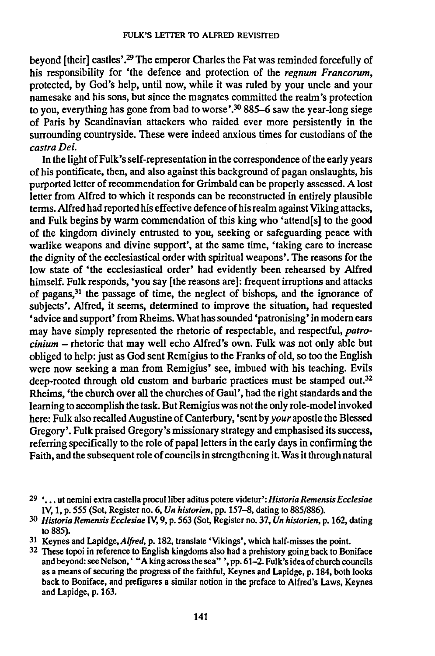beyond [their] castles'.<sup>29</sup> The emperor Charles the Fat was reminded forcefully of his responsibility for 'the defence and protection of the *regnum Franeorum,* protected, by God's help, until now, while it was ruled by your uncle and your namesake and his sons, but since the magnates committed the realm's protection to you, everything has gone from bad to worse'.<sup>30</sup> 885–6 saw the year-long siege of Paris by Scandinavian attackers who raided ever more persistently in the surrounding countryside. These were indeed anxious times for custodians of the *castra Dei.*

Inthe light of Fulk's self-representation in the correspondence of the early years of his pontificate, then, and also against this background of pagan onslaughts, his purported letter of recommendation for Grimbald can be properly assessed. A lost letter from Alfred to which it responds can be reconstructed in entirely plausible terms. Alfred had reported his effective defence of his realm against Viking attacks, and Fulk begins by warm commendation of this king who 'attend[s] to the good of the kingdom divinely entrusted to you, seeking or safeguarding peace with warlike weapons and divine support', at the same time, 'taking care to increase the dignity of the ecclesiastical order with spiritual weapons'. The reasons for the low state of 'the ecclesiastical order' had evidently been rehearsed by Alfred himself. Fulk responds, 'you say [the reasons are]: frequent irruptions and attacks of pagans,<sup>31</sup> the passage of time, the neglect of bishops, and the ignorance of subjects'. Alfred, it seems, determined to improve the situation, had requested 'advice and support' from Rheims. What has sounded 'patronising' in modem ears may have simply represented the rhetoric of respectable, and respectful, *patrocinium -* rhetoric that may well echo Alfred's own. Fulk was not only able but obliged to help: just as God sent Remigius to the Franks of old, so too the English were now seeking a man from Remigius' see, imbued with his teaching. Evils deep-rooted through old custom and barbaric practices must be stamped out.<sup>32</sup> Rheims, 'the church over all the churches of Gaul', had the right standards and the learning to accomplish the task. But Remigius was not the only role-model invoked here: Fulk also recalled Augustine of Canterbury, 'sent by *your* apostle the Blessed Gregory'. Fulk praised Gregory's missionary strategy and emphasised its success, referring specifically to the role of papal letters in the early days in confirming the Faith, and the subsequent role of councils in strengthening it. Was it through natural

<sup>29</sup> ' ••• ut nemini extra castella proculliber aditus potere videtur': *Historia Remensis Ecclesiae* IV, 1, p. 555 (Sot, Register no. 6, *Un historien,* pp. 157-8, dating to 885/886).

<sup>30</sup> *Historia Remensis Ecc1esiae* IV, 9, p. 563 (Sot, Register no. 37, *Un historien,* p. 162, dating to 885).

<sup>31</sup> Keynes and Lapidge, Alfred, p. 182, translate 'Vikings', which half-misses the point.

<sup>32</sup> These topoi in reference to English kingdoms also had a prehistory going back to Boniface and beyond: see Nelson, ' "A king across the sea" ', pp. 61–2. Fulk's idea of church council as a means of securing the progress of the faithful, Keynes and Lapidge, p, 184, both looks back to Boniface, and prefigures a similar notion in the preface to Alfred's Laws, Keynes and Lapidge, p. 163.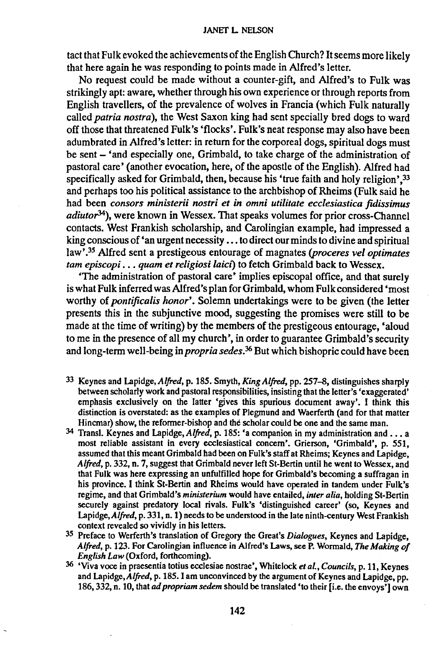#### JANET L NELSON

tact that Fulk evoked the achievements of the English Church? It seems more likely that here again he was responding to points made in Alfred's letter.

No request could be made without a counter-gift, and Alfred's to Fulk was strikingly apt: aware, whether through his own experience or through reports from English travellers, of the prevalence of wolves in Francia (which Fulk naturally called *patria nostra),* the West Saxon king had sent specially bred dogs to ward off those that threatened Fulk's 'flocks'. Fulk's neat response may also have been adumbrated in Alfred's letter: in return for the corporeal dogs, spiritual dogs must be sent - 'and especially one, Grimbald, to take charge of the administration of pastoral care' (another evocation, here, of the apostle of the English). Alfred had specifically asked for Grimbald, then, because his 'true faith and holy religion',<sup>33</sup> and perhaps too his political assistance to the archbishop of Rheims (Fulk said he had been *consors ministerii nostri et in omni utilitate ecclesiastica fidissimus adiutor34),* were known in Wessex. That speaks volumes for prior cross-Channel contacts. West Frankish scholarship, and Carolingian example, had impressed a king conscious of 'an urgent necessity ... to direct our minds to divine and spiritual law' .35Alfred sent a prestigeous entourage of magnates *(proceres veloptimates tarn episcopi ••• quam et religiosi laici)* to fetch Grimbald back to Wessex.

'The administration of pastoral care' implies episcopal office, and that surely is what Fulk inferred was Alfred's plan for Grimbald, whom Fulk considered 'most worthy of *pontificalis honor'.* Solemn undertakings were to be given (the letter presents this in the subjunctive mood, suggesting the promises were still to be made at the time of writing) by the members of the prestigeous entourage, 'aloud to me in the presence of all my church', in order to guarantee Grimbald's security and long-term well-being in *propria sedes.<sup>36</sup>* But which bishopric could have been

- 33 Keynes and Lapidge, *Alfred,* p. 185. Smyth, *King Alfred,* pp. 257-8, distinguishes sharply between scholarly work and pastoral responsibilities, insisting that the letter's 'exaggerated' emphasis exclusively on the latter 'gives this spurious document away'. I think this distinction is overstated: as the examples of Plegmund and Waerferth (and for that matter Hincmar) show, the reformer-bishop and the scholar could be one and the same man.
- <sup>34</sup> Transl. Keynes and Lapidge, *Alfred*, p. 185: 'a companion in my administration and . . . a most reliable assistant in every ecclesiastical concern'. Grierson, 'Grimbald', p. 551, assumed that this meant Grimbald had been on Fulk's staff at Rheims; Keynes and Lapidge, Alfred, p. 332, n. 7, suggest that Grimbald never left St-Bertin until he went to Wessex, and that Fulk was here expressing an unfulfilled hope for Grimbald's becoming a suffragan in his province. I think St-Bertin and Rheims would have operated in tandem under Fulk's regime, and that Grimbald's *ministerium* would have entailed, *inter alia,* holding St-Bertin securely against predatory local rivals. Fulk's 'distinguished career' (so, Keynes and Lapidge, Alfred, p. 331, n. 1) needs to be understood in the late ninth-century West Frankish context revealed so vividly in his letters.
- 35 Preface to Werferth's translation of Gregory the Great's *Dialogues,* Keynes and Lapidge, *AljTed,* p. 123. For Carolingian influence in Alfred's Laws, see P. Wormald, *The Making of English Law* (Oxford, forthcoming).
- <sup>36</sup> 'Viva voce in praesentia totius ecclesiae nostrae', Whitelock *et al., Councils*, p. 11, Keynes and Lapidge,Alfred, p. 185. I am unconvinced by the argument of Keynes and Lapidge, pp. 186,332, n. 10, that *adpropriam sedem* should be translated 'to their [i.e. the envoys'] own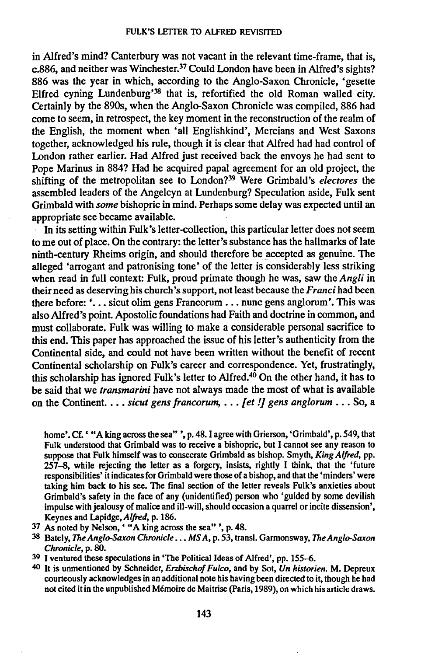in Alfred's mind? Canterbury was not vacant in the relevant time-frame, that is, c.886, and neither was Winchester.<sup>37</sup> Could London have been in Alfred's sights? 886 was the year in which, according to the Anglo-Saxon Chronicle, 'gesette Elfred cyning Lundenburg'<sup>38</sup> that is, refortified the old Roman walled city. Certainly by the 890s, when the Anglo-Saxon Chronicle was compiled, 886 had come to seem, in retrospect, the key moment in the reconstruction of the realm of the English, the moment when 'all Englishkind', Mercians and West Saxans together, acknowledged his rule, though it is clear that Alfred had had control of London rather earlier. Had Alfred just received back the envoys he had sent to Pope Marinus in 884? Had he acquired papal agreement for an old project, the shifting of the metropolitan see to London?<sup>39</sup> Were Grimbald's *electores* the assembled leaders of the Angelcyn at Lundenburg? Speculation aside, Fulk sent Grimbald with *some* bishopric in mind. Perhaps some delay was expected until an appropriate see became available.

In its setting within Fulk's letter-collection, this particular letter does not seem to me out of place. On the contrary: the letter's substance has the hallmarks of late ninth-century Rheims origin, and should therefore be accepted as genuine. The alleged 'arrogant and patronising tone' of the letter is considerably less striking when read in full context: Fulk, proud primate though he was, saw the *Angli* in their need as deserving his church's support, not least because the *Franci* had been there before:  $\cdot \cdot$ ... sicut olim gens Francorum ... nunc gens anglorum'. This was also Alfred's point. Apostolic foundations had Faith and doctrine in common, and must collaborate. Fulk was willing to make a considerable personal sacrifice to this end. This paper has approached the issue of his letter's authenticity from the Continental side, and could not have been written without the benefit of recent Continental scholarship on Fulk's career and correspondence. Yet, frustratingly, this scholarship has ignored Fulk's letter to Alfred.<sup>40</sup> On the other hand, it has to be said that we *transmarini* have not always made the most of what is available on the Continent. ••• *sicut gens francorum, ... [et !J gens anglorum ...* So, a

home'. Cf. ' "A king across the sea" ', p. 48. I agree with Grierson, 'Grimbald', p. 549, that Fulk understood that Grimbald was to receive a bishopric, but I cannot see any reason to suppose that Fulk himself was to consecrate Grimbald as bishop. Smyth, *King Alfred,* pp. 257-8, while rejecting the letter as a forgery, insists, rightly I think, that the 'future responsibilities' it indicates for Grimbald were those of a bishop, and that the 'minders' were taking him back to his see. The final section of the letter reveals Fulk's anxieties about Grimbald's safety in the face of any (unidentified) person who 'guided by some devilish impulse with jealousy of malice and ill-will, should occasion a quarrel or incite dissension', Keynes and Lapidge,Alfred, p. 186.

- 37 As noted by Nelson, ' "A king across the sea" ', p. 48.
- 38 Bately, *TheAnglo-Saxon Chronicle ••• MS A,* p. 53, trans!. Garmonsway, *The Anglo-Saxon Chronicle,* p. 80.
- 39 I ventured these speculations in 'The Political Ideas of Alfred', pp. 155-6.
- 40 It is unmentioned by Schneider, *Erzbischof Fulco,* and by Sot, *Un historien.* M. Depreux courteously acknowledges in an additional note his having been directed to it, though he had not cited it in the unpublished Memoire de Maitrise (paris, 1989), on which his article draws.